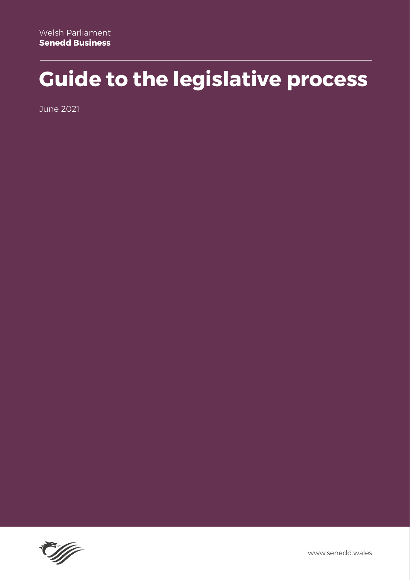### **Guide to the legislative process**

June 2021

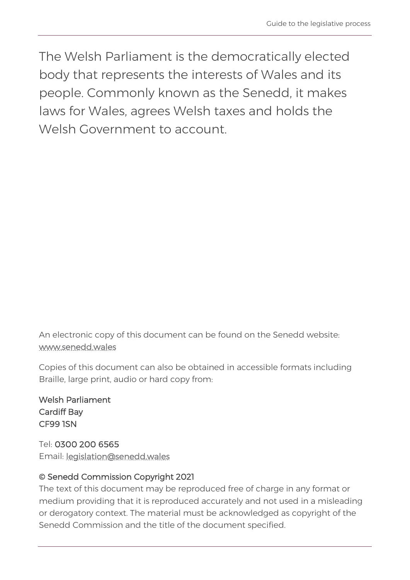The Welsh Parliament is the democratically elected body that represents the interests of Wales and its people. Commonly known as the Senedd, it makes laws for Wales, agrees Welsh taxes and holds the Welsh Government to account

An electronic copy of this document can be found on the Senedd website: [www.senedd.wales](http://www.senedd.wales/) 

Copies of this document can also be obtained in accessible formats including Braille, large print, audio or hard copy from:

Welsh Parliament Cardiff Bay CF99 1SN

Tel: 0300 200 6565 Email: [legislation@senedd.wales](mailto:legislation@senedd.wales)

#### © Senedd Commission Copyright 2021

The text of this document may be reproduced free of charge in any format or medium providing that it is reproduced accurately and not used in a misleading or derogatory context. The material must be acknowledged as copyright of the Senedd Commission and the title of the document specified.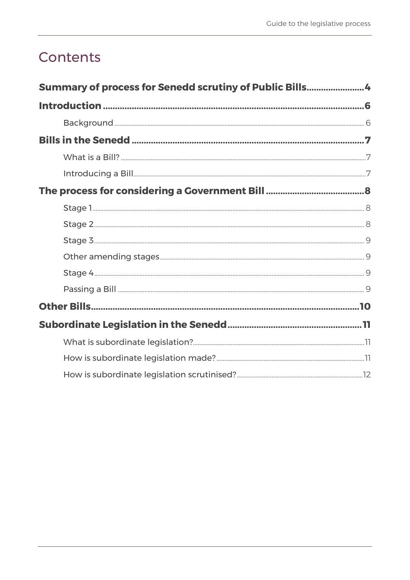#### Contents

| Summary of process for Senedd scrutiny of Public Bills4 |  |
|---------------------------------------------------------|--|
|                                                         |  |
|                                                         |  |
|                                                         |  |
|                                                         |  |
|                                                         |  |
|                                                         |  |
|                                                         |  |
|                                                         |  |
|                                                         |  |
|                                                         |  |
|                                                         |  |
|                                                         |  |
|                                                         |  |
|                                                         |  |
|                                                         |  |
|                                                         |  |
|                                                         |  |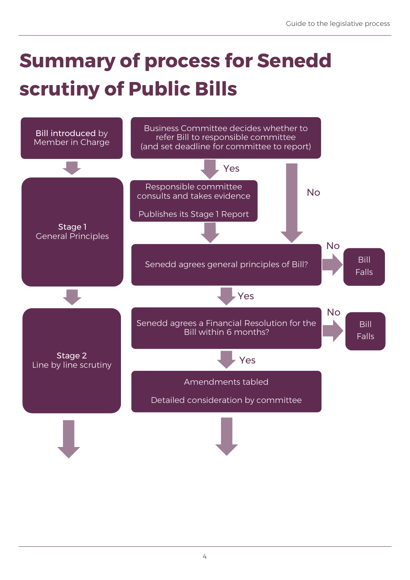# <span id="page-4-0"></span>**Summary of process for Senedd scrutiny of Public Bills**

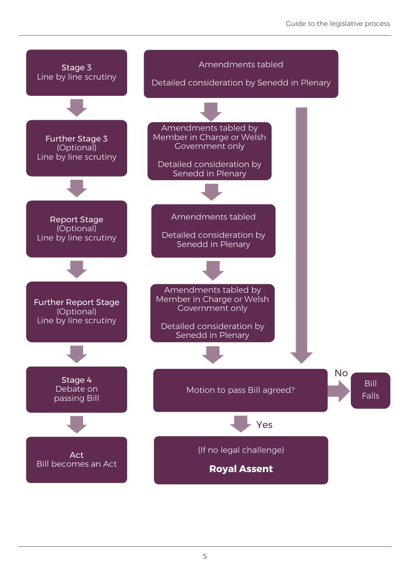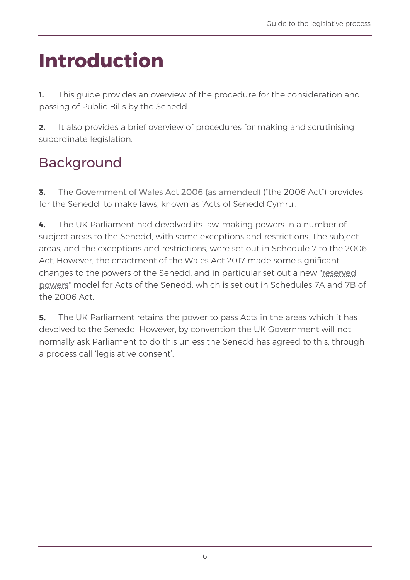### <span id="page-6-0"></span>**Introduction**

**1.** This guide provides an overview of the procedure for the consideration and passing of Public Bills by the Senedd.

**2.** It also provides a brief overview of procedures for making and scrutinising subordinate legislation.

### <span id="page-6-1"></span>Background

**3.** The [Government of Wales Act 2006 \(as amended\)](http://www.legislation.gov.uk/ukpga/2006/32/contents) [\(](http://www.legislation.gov.uk/ukpga/2006/32/contents)"the 2006 Act") provides for the Senedd to make laws, known as 'Acts of Senedd Cymru'.

**4.** The UK Parliament had devolved its law-making powers in a number of subject areas to the Senedd, with some exceptions and restrictions. The subject areas, and the exceptions and restrictions, were set out in Schedule 7 to the 2006 Act. However, the enactment of the Wales Act 2017 made some significant changes to the powers of the Senedd, and in particular set out a new ["reserved](https://senedd.wales/how-we-work/our-role/powers/)  [powers"](https://senedd.wales/how-we-work/our-role/powers/) model for Acts of the Senedd, which is set out in Schedules 7A and 7B of the 2006 Act.

**5.** The UK Parliament retains the power to pass Acts in the areas which it has devolved to the Senedd. However, by convention the UK Government will not normally ask Parliament to do this unless the Senedd has agreed to this, through a process call 'legislative consent'.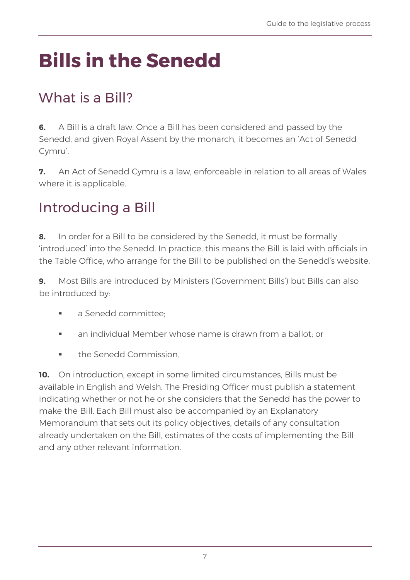# <span id="page-7-0"></span>**Bills in the Senedd**

#### <span id="page-7-1"></span>What is a Bill?

**6.** A Bill is a draft law. Once a Bill has been considered and passed by the Senedd, and given Royal Assent by the monarch, it becomes an 'Act of Senedd Cymru'.

**7.** An Act of Senedd Cymru is a law, enforceable in relation to all areas of Wales where it is applicable.

#### <span id="page-7-2"></span>Introducing a Bill

**8.** In order for a Bill to be considered by the Senedd, it must be formally 'introduced' into the Senedd. In practice, this means the Bill is laid with officials in the Table Office, who arrange for the Bill to be published on the Senedd's website.

**9.** Most Bills are introduced by Ministers ('Government Bills') but Bills can also be introduced by:

- a Senedd committee:
- an individual Member whose name is drawn from a ballot; or
- the Senedd Commission

**10.** On introduction, except in some limited circumstances, Bills must be available in English and Welsh. The Presiding Officer must publish a statement indicating whether or not he or she considers that the Senedd has the power to make the Bill. Each Bill must also be accompanied by an Explanatory Memorandum that sets out its policy objectives, details of any consultation already undertaken on the Bill, estimates of the costs of implementing the Bill and any other relevant information.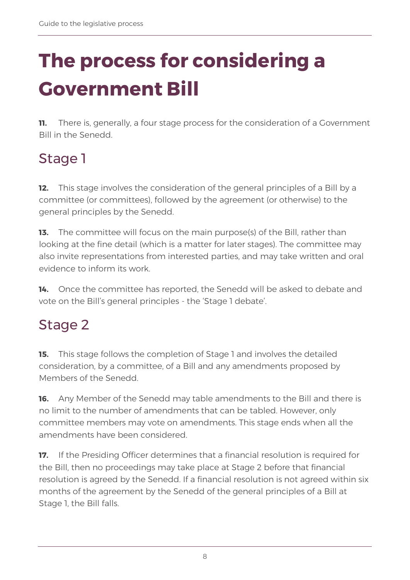# <span id="page-8-0"></span>**The process for considering a Government Bill**

**11.** There is, generally, a four stage process for the consideration of a Government Bill in the Senedd.

### <span id="page-8-1"></span>Stage 1

**12.** This stage involves the consideration of the general principles of a Bill by a committee (or committees), followed by the agreement (or otherwise) to the general principles by the Senedd.

**13.** The committee will focus on the main purpose(s) of the Bill, rather than looking at the fine detail (which is a matter for later stages). The committee may also invite representations from interested parties, and may take written and oral evidence to inform its work.

**14.** Once the committee has reported, the Senedd will be asked to debate and vote on the Bill's general principles - the 'Stage 1 debate'.

#### <span id="page-8-2"></span>Stage 2

**15.** This stage follows the completion of Stage 1 and involves the detailed consideration, by a committee, of a Bill and any amendments proposed by Members of the Senedd.

**16.** Any Member of the Senedd may table amendments to the Bill and there is no limit to the number of amendments that can be tabled. However, only committee members may vote on amendments. This stage ends when all the amendments have been considered.

**17.** If the Presiding Officer determines that a financial resolution is required for the Bill, then no proceedings may take place at Stage 2 before that financial resolution is agreed by the Senedd. If a financial resolution is not agreed within six months of the agreement by the Senedd of the general principles of a Bill at Stage 1, the Bill falls.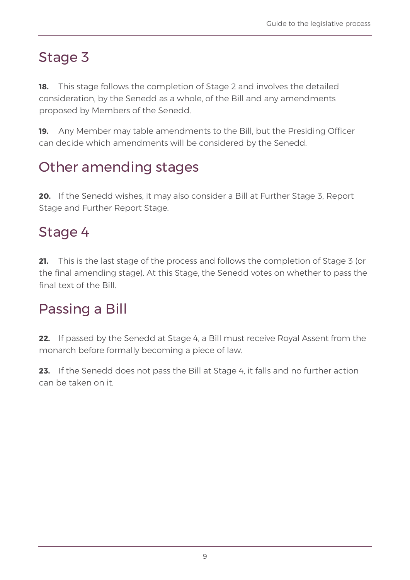#### <span id="page-9-0"></span>Stage 3

**18.** This stage follows the completion of Stage 2 and involves the detailed consideration, by the Senedd as a whole, of the Bill and any amendments proposed by Members of the Senedd.

**19.** Any Member may table amendments to the Bill, but the Presiding Officer can decide which amendments will be considered by the Senedd.

### <span id="page-9-1"></span>Other amending stages

**20.** If the Senedd wishes, it may also consider a Bill at Further Stage 3, Report Stage and Further Report Stage.

#### <span id="page-9-2"></span>Stage 4

**21.** This is the last stage of the process and follows the completion of Stage 3 (or the final amending stage). At this Stage, the Senedd votes on whether to pass the final text of the Bill.

#### <span id="page-9-3"></span>Passing a Bill

**22.** If passed by the Senedd at Stage 4, a Bill must receive Royal Assent from the monarch before formally becoming a piece of law.

**23.** If the Senedd does not pass the Bill at Stage 4, it falls and no further action can be taken on it.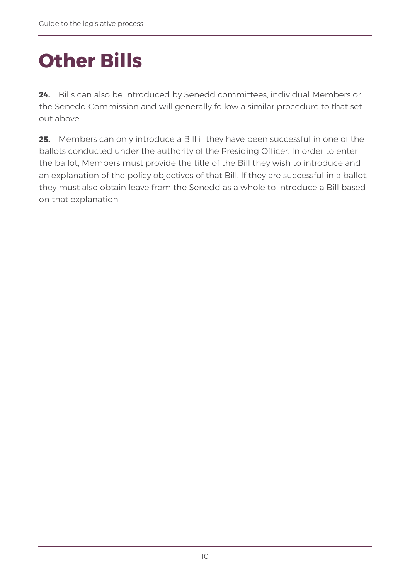### <span id="page-10-0"></span>**Other Bills**

**24.** Bills can also be introduced by Senedd committees, individual Members or the Senedd Commission and will generally follow a similar procedure to that set out above.

**25.** Members can only introduce a Bill if they have been successful in one of the ballots conducted under the authority of the Presiding Officer. In order to enter the ballot, Members must provide the title of the Bill they wish to introduce and an explanation of the policy objectives of that Bill. If they are successful in a ballot, they must also obtain leave from the Senedd as a whole to introduce a Bill based on that explanation.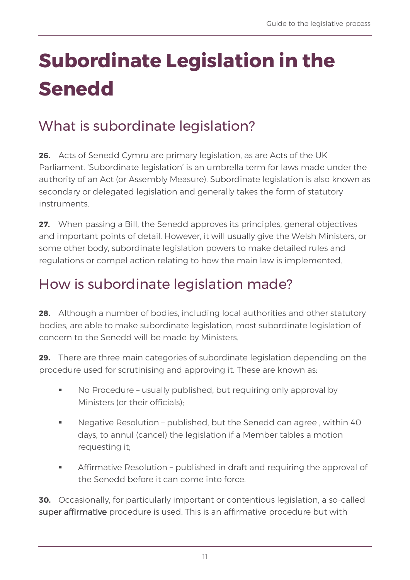# <span id="page-11-0"></span>**Subordinate Legislation in the Senedd**

### <span id="page-11-1"></span>What is subordinate legislation?

**26.** Acts of Senedd Cymru are primary legislation, as are Acts of the UK Parliament. 'Subordinate legislation' is an umbrella term for laws made under the authority of an Act (or Assembly Measure). Subordinate legislation is also known as secondary or delegated legislation and generally takes the form of statutory instruments.

**27.** When passing a Bill, the Senedd approves its principles, general objectives and important points of detail. However, it will usually give the Welsh Ministers, or some other body, subordinate legislation powers to make detailed rules and regulations or compel action relating to how the main law is implemented.

#### <span id="page-11-2"></span>How is subordinate legislation made?

**28.** Although a number of bodies, including local authorities and other statutory bodies, are able to make subordinate legislation, most subordinate legislation of concern to the Senedd will be made by Ministers.

**29.** There are three main categories of subordinate legislation depending on the procedure used for scrutinising and approving it. These are known as:

- No Procedure usually published, but requiring only approval by Ministers (or their officials);
- Negative Resolution published, but the Senedd can agree, within 40 days, to annul (cancel) the legislation if a Member tables a motion requesting it;
- Affirmative Resolution published in draft and requiring the approval of the Senedd before it can come into force.

**30.** Occasionally, for particularly important or contentious legislation, a so-called super affirmative procedure is used. This is an affirmative procedure but with